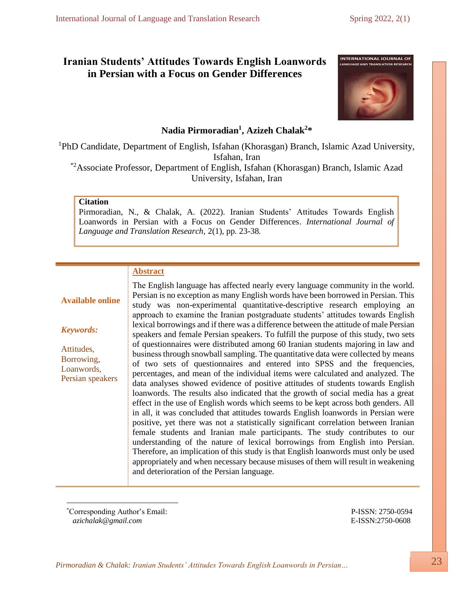# **Iranian Students' Attitudes Towards English Loanwords in Persian with a Focus on Gender Differences**



# **Nadia Pirmoradian<sup>1</sup> , Azizeh Chalak<sup>2</sup> \***

<sup>1</sup>PhD Candidate, Department of English, Isfahan (Khorasgan) Branch, Islamic Azad University, Isfahan, Iran \*2Associate Professor, Department of English, Isfahan (Khorasgan) Branch, Islamic Azad University, Isfahan, Iran

#### **Citation**

Pirmoradian, N., & Chalak, A. (2022). Iranian Students' Attitudes Towards English Loanwords in Persian with a Focus on Gender Differences. *International Journal of Language and Translation Research*, 2(1), pp. 23-38.

## **Abstract**

## **Available online**

*Keywords:*

Attitudes, Borrowing, Loanwords,

Persian speakers Persian is no exception as many English words have been borrowed in Persian. This study was non-experimental quantitative-descriptive research employing an approach to examine the Iranian postgraduate students' attitudes towards English lexical borrowings and if there was a difference between the attitude of male Persian speakers and female Persian speakers. To fulfill the purpose of this study, two sets of questionnaires were distributed among 60 Iranian students majoring in law and business through snowball sampling. The quantitative data were collected by means of two sets of questionnaires and entered into SPSS and the frequencies, percentages, and mean of the individual items were calculated and analyzed. The data analyses showed evidence of positive attitudes of students towards English loanwords. The results also indicated that the growth of social media has a great effect in the use of English words which seems to be kept across both genders. All in all, it was concluded that attitudes towards English loanwords in Persian were positive, yet there was not a statistically significant correlation between Iranian female students and Iranian male participants. The study contributes to our understanding of the nature of lexical borrowings from English into Persian. Therefore, an implication of this study is that English loanwords must only be used appropriately and when necessary because misuses of them will result in weakening and deterioration of the Persian language.

The English language has affected nearly every language community in the world.

\*Corresponding Author's Email: P-ISSN: 2750-0594  *[azichalak@gmail.com](mailto:azichalak@gmail.com)* E-ISSN:2750-0608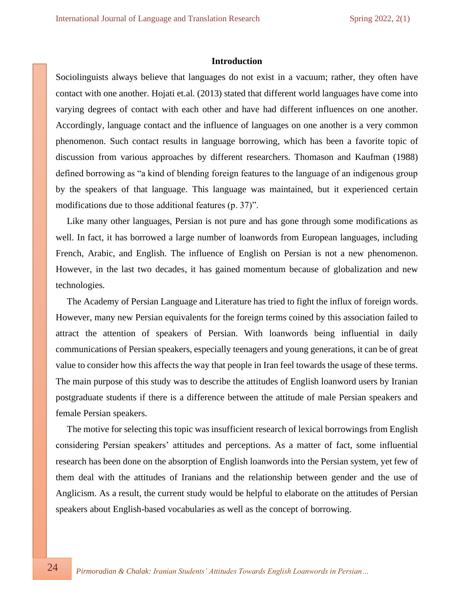#### **Introduction**

Sociolinguists always believe that languages do not exist in a vacuum; rather, they often have contact with one another. Hojati et.al. (2013) stated that different world languages have come into varying degrees of contact with each other and have had different influences on one another. Accordingly, language contact and the influence of languages on one another is a very common phenomenon. Such contact results in language borrowing, which has been a favorite topic of discussion from various approaches by different researchers. Thomason and Kaufman (1988) defined borrowing as "a kind of blending foreign features to the language of an indigenous group by the speakers of that language. This language was maintained, but it experienced certain modifications due to those additional features (p. 37)".

Like many other languages, Persian is not pure and has gone through some modifications as well. In fact, it has borrowed a large number of loanwords from European languages, including French, Arabic, and English. The influence of English on Persian is not a new phenomenon. However, in the last two decades, it has gained momentum because of globalization and new technologies.

The Academy of Persian Language and Literature has tried to fight the influx of foreign words. However, many new Persian equivalents for the foreign terms coined by this association failed to attract the attention of speakers of Persian. With loanwords being influential in daily communications of Persian speakers, especially teenagers and young generations, it can be of great value to consider how this affects the way that people in Iran feel towards the usage of these terms. The main purpose of this study was to describe the attitudes of English loanword users by Iranian postgraduate students if there is a difference between the attitude of male Persian speakers and female Persian speakers.

The motive for selecting this topic was insufficient research of lexical borrowings from English considering Persian speakers' attitudes and perceptions. As a matter of fact, some influential research has been done on the absorption of English loanwords into the Persian system, yet few of them deal with the attitudes of Iranians and the relationship between gender and the use of Anglicism. As a result, the current study would be helpful to elaborate on the attitudes of Persian speakers about English-based vocabularies as well as the concept of borrowing.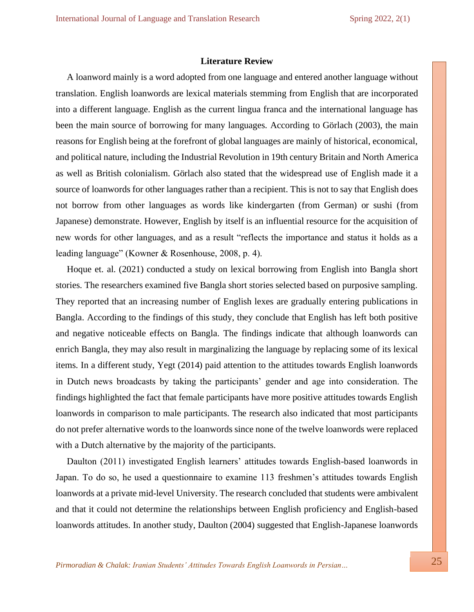## **Literature Review**

A loanword mainly is a word adopted from one language and entered another language without translation. English loanwords are lexical materials stemming from English that are incorporated into a different language. English as the current lingua franca and the international language has been the main source of borrowing for many languages. According to Görlach (2003), the main reasons for English being at the forefront of global languages are mainly of historical, economical, and political nature, including the Industrial Revolution in 19th century Britain and North America as well as British colonialism. Görlach also stated that the widespread use of English made it a source of loanwords for other languages rather than a recipient. This is not to say that English does not borrow from other languages as words like kindergarten (from German) or sushi (from Japanese) demonstrate. However, English by itself is an influential resource for the acquisition of new words for other languages, and as a result "reflects the importance and status it holds as a leading language" (Kowner & Rosenhouse, 2008, p. 4).

Hoque et. al. (2021) conducted a study on lexical borrowing from English into Bangla short stories. The researchers examined five Bangla short stories selected based on purposive sampling. They reported that an increasing number of English lexes are gradually entering publications in Bangla. According to the findings of this study, they conclude that English has left both positive and negative noticeable effects on Bangla. The findings indicate that although loanwords can enrich Bangla, they may also result in marginalizing the language by replacing some of its lexical items. In a different study, Yegt (2014) paid attention to the attitudes towards English loanwords in Dutch news broadcasts by taking the participants' gender and age into consideration. The findings highlighted the fact that female participants have more positive attitudes towards English loanwords in comparison to male participants. The research also indicated that most participants do not prefer alternative words to the loanwords since none of the twelve loanwords were replaced with a Dutch alternative by the majority of the participants.

Daulton (2011) investigated English learners' attitudes towards English-based loanwords in Japan. To do so, he used a questionnaire to examine 113 freshmen's attitudes towards English loanwords at a private mid-level University. The research concluded that students were ambivalent and that it could not determine the relationships between English proficiency and English-based loanwords attitudes. In another study, Daulton (2004) suggested that English-Japanese loanwords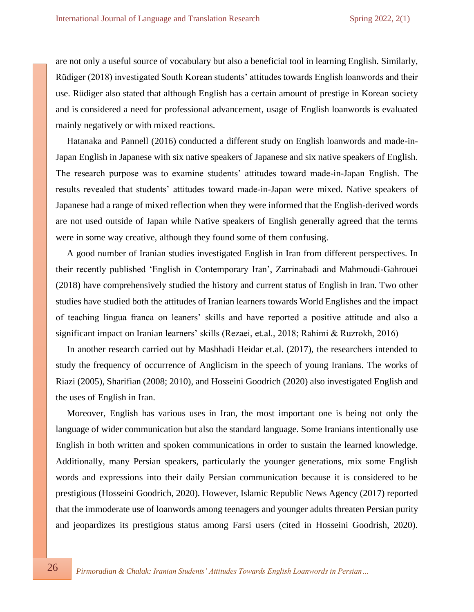are not only a useful source of vocabulary but also a beneficial tool in learning English. Similarly, Rüdiger (2018) investigated South Korean students' attitudes towards English loanwords and their use. Rüdiger also stated that although English has a certain amount of prestige in Korean society and is considered a need for professional advancement, usage of English loanwords is evaluated mainly negatively or with mixed reactions.

Hatanaka and Pannell (2016) conducted a different study on English loanwords and made-in-Japan English in Japanese with six native speakers of Japanese and six native speakers of English. The research purpose was to examine students' attitudes toward made-in-Japan English. The results revealed that students' attitudes toward made-in-Japan were mixed. Native speakers of Japanese had a range of mixed reflection when they were informed that the English-derived words are not used outside of Japan while Native speakers of English generally agreed that the terms were in some way creative, although they found some of them confusing.

A good number of Iranian studies investigated English in Iran from different perspectives. In their recently published 'English in Contemporary Iran', Zarrinabadi and Mahmoudi-Gahrouei (2018) have comprehensively studied the history and current status of English in Iran. Two other studies have studied both the attitudes of Iranian learners towards World Englishes and the impact of teaching lingua franca on leaners' skills and have reported a positive attitude and also a significant impact on Iranian learners' skills (Rezaei, et.al., 2018; Rahimi & Ruzrokh, 2016)

In another research carried out by Mashhadi Heidar et.al. (2017), the researchers intended to study the frequency of occurrence of Anglicism in the speech of young Iranians. The works of Riazi (2005), Sharifian (2008; 2010), and Hosseini Goodrich (2020) also investigated English and the uses of English in Iran.

Moreover, English has various uses in Iran, the most important one is being not only the language of wider communication but also the standard language. Some Iranians intentionally use English in both written and spoken communications in order to sustain the learned knowledge. Additionally, many Persian speakers, particularly the younger generations, mix some English words and expressions into their daily Persian communication because it is considered to be prestigious (Hosseini Goodrich, 2020). However, Islamic Republic News Agency (2017) reported that the immoderate use of loanwords among teenagers and younger adults threaten Persian purity and jeopardizes its prestigious status among Farsi users (cited in Hosseini Goodrish, 2020).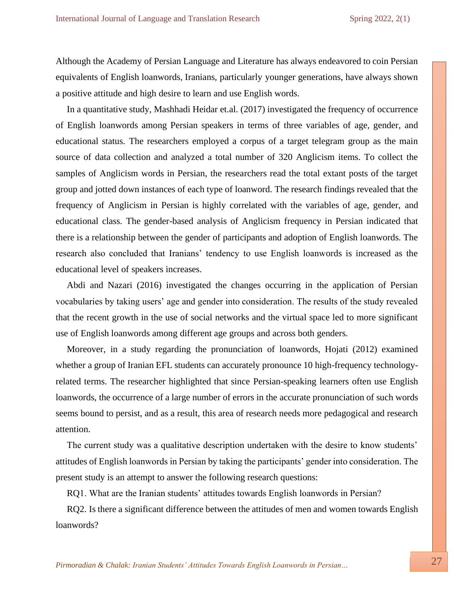Although the Academy of Persian Language and Literature has always endeavored to coin Persian equivalents of English loanwords, Iranians, particularly younger generations, have always shown a positive attitude and high desire to learn and use English words.

In a quantitative study, Mashhadi Heidar et.al. (2017) investigated the frequency of occurrence of English loanwords among Persian speakers in terms of three variables of age, gender, and educational status. The researchers employed a corpus of a target telegram group as the main source of data collection and analyzed a total number of 320 Anglicism items. To collect the samples of Anglicism words in Persian, the researchers read the total extant posts of the target group and jotted down instances of each type of loanword. The research findings revealed that the frequency of Anglicism in Persian is highly correlated with the variables of age, gender, and educational class. The gender-based analysis of Anglicism frequency in Persian indicated that there is a relationship between the gender of participants and adoption of English loanwords. The research also concluded that Iranians' tendency to use English loanwords is increased as the educational level of speakers increases.

Abdi and Nazari (2016) investigated the changes occurring in the application of Persian vocabularies by taking users' age and gender into consideration. The results of the study revealed that the recent growth in the use of social networks and the virtual space led to more significant use of English loanwords among different age groups and across both genders.

Moreover, in a study regarding the pronunciation of loanwords, Hojati (2012) examined whether a group of Iranian EFL students can accurately pronounce 10 high-frequency technologyrelated terms. The researcher highlighted that since Persian-speaking learners often use English loanwords, the occurrence of a large number of errors in the accurate pronunciation of such words seems bound to persist, and as a result, this area of research needs more pedagogical and research attention.

The current study was a qualitative description undertaken with the desire to know students' attitudes of English loanwords in Persian by taking the participants' gender into consideration. The present study is an attempt to answer the following research questions:

RQ1. What are the Iranian students' attitudes towards English loanwords in Persian?

RQ2. Is there a significant difference between the attitudes of men and women towards English loanwords?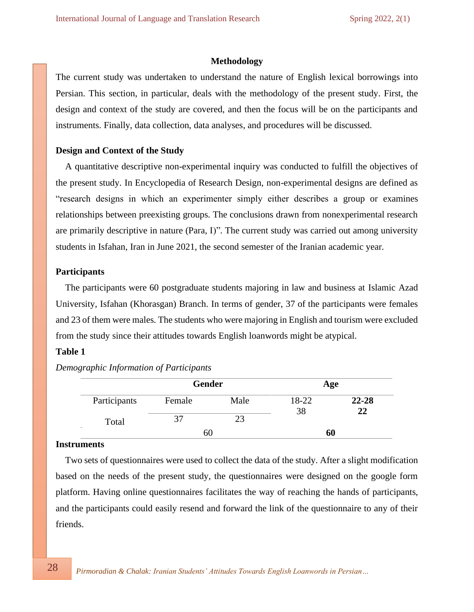## **Methodology**

The current study was undertaken to understand the nature of English lexical borrowings into Persian. This section, in particular, deals with the methodology of the present study. First, the design and context of the study are covered, and then the focus will be on the participants and instruments. Finally, data collection, data analyses, and procedures will be discussed.

## **Design and Context of the Study**

 A quantitative descriptive non-experimental inquiry was conducted to fulfill the objectives of the present study. In Encyclopedia of Research Design, non-experimental designs are defined as "research designs in which an experimenter simply either describes a group or examines relationships between preexisting groups. The conclusions drawn from nonexperimental research are primarily descriptive in nature (Para, I)". The current study was carried out among university students in Isfahan, Iran in June 2021, the second semester of the Iranian academic year.

## **Participants**

 The participants were 60 postgraduate students majoring in law and business at Islamic Azad University, Isfahan (Khorasgan) Branch. In terms of gender, 37 of the participants were females and 23 of them were males. The students who were majoring in English and tourism were excluded from the study since their attitudes towards English loanwords might be atypical.

## **Table 1**

|              | <b>Gender</b> |      | Age         |           |  |
|--------------|---------------|------|-------------|-----------|--|
| Participants | Female        | Male | 18-22<br>38 | $22 - 28$ |  |
| Total        |               |      |             | 22        |  |
|              | hU            |      | 60          |           |  |

*Demographic Information of Participants*

#### **Instruments**

 Two sets of questionnaires were used to collect the data of the study. After a slight modification based on the needs of the present study, the questionnaires were designed on the google form platform. Having online questionnaires facilitates the way of reaching the hands of participants, and the participants could easily resend and forward the link of the questionnaire to any of their friends.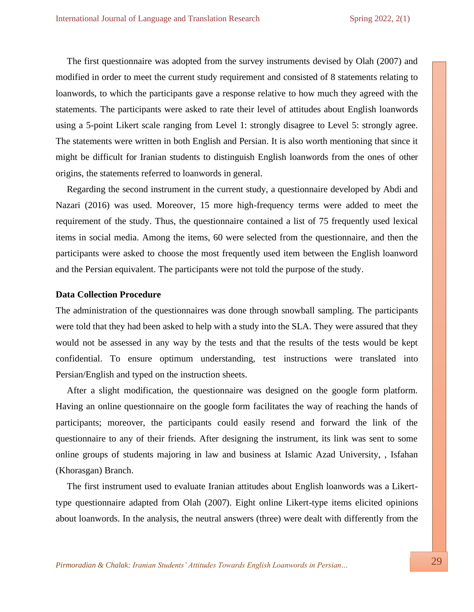The first questionnaire was adopted from the survey instruments devised by Olah (2007) and modified in order to meet the current study requirement and consisted of 8 statements relating to loanwords, to which the participants gave a response relative to how much they agreed with the statements. The participants were asked to rate their level of attitudes about English loanwords using a 5-point Likert scale ranging from Level 1: strongly disagree to Level 5: strongly agree. The statements were written in both English and Persian. It is also worth mentioning that since it might be difficult for Iranian students to distinguish English loanwords from the ones of other origins, the statements referred to loanwords in general.

Regarding the second instrument in the current study, a questionnaire developed by Abdi and Nazari (2016) was used. Moreover, 15 more high-frequency terms were added to meet the requirement of the study. Thus, the questionnaire contained a list of 75 frequently used lexical items in social media. Among the items, 60 were selected from the questionnaire, and then the participants were asked to choose the most frequently used item between the English loanword and the Persian equivalent. The participants were not told the purpose of the study.

#### **Data Collection Procedure**

The administration of the questionnaires was done through snowball sampling. The participants were told that they had been asked to help with a study into the SLA. They were assured that they would not be assessed in any way by the tests and that the results of the tests would be kept confidential. To ensure optimum understanding, test instructions were translated into Persian/English and typed on the instruction sheets.

After a slight modification, the questionnaire was designed on the google form platform. Having an online questionnaire on the google form facilitates the way of reaching the hands of participants; moreover, the participants could easily resend and forward the link of the questionnaire to any of their friends. After designing the instrument, its link was sent to some online groups of students majoring in law and business at Islamic Azad University, , Isfahan (Khorasgan) Branch.

The first instrument used to evaluate Iranian attitudes about English loanwords was a Likerttype questionnaire adapted from Olah (2007). Eight online Likert-type items elicited opinions about loanwords. In the analysis, the neutral answers (three) were dealt with differently from the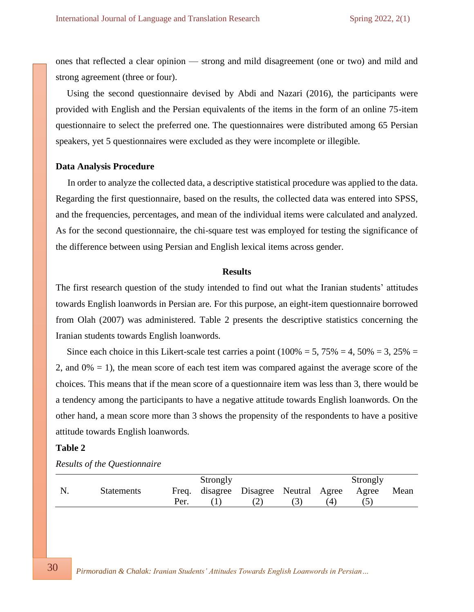ones that reflected a clear opinion — strong and mild disagreement (one or two) and mild and strong agreement (three or four).

Using the second questionnaire devised by Abdi and Nazari (2016), the participants were provided with English and the Persian equivalents of the items in the form of an online 75-item questionnaire to select the preferred one. The questionnaires were distributed among 65 Persian speakers, yet 5 questionnaires were excluded as they were incomplete or illegible.

## **Data Analysis Procedure**

 In order to analyze the collected data, a descriptive statistical procedure was applied to the data. Regarding the first questionnaire, based on the results, the collected data was entered into SPSS, and the frequencies, percentages, and mean of the individual items were calculated and analyzed. As for the second questionnaire, the chi-square test was employed for testing the significance of the difference between using Persian and English lexical items across gender.

#### **Results**

The first research question of the study intended to find out what the Iranian students' attitudes towards English loanwords in Persian are. For this purpose, an eight-item questionnaire borrowed from Olah (2007) was administered. Table 2 presents the descriptive statistics concerning the Iranian students towards English loanwords.

Since each choice in this Likert-scale test carries a point  $(100\% = 5, 75\% = 4, 50\% = 3, 25\% =$ 2, and  $0\% = 1$ ), the mean score of each test item was compared against the average score of the choices. This means that if the mean score of a questionnaire item was less than 3, there would be a tendency among the participants to have a negative attitude towards English loanwords. On the other hand, a mean score more than 3 shows the propensity of the respondents to have a positive attitude towards English loanwords.

## **Table 2**

|                   |      | Strongly |                                             |     | Strongly |      |
|-------------------|------|----------|---------------------------------------------|-----|----------|------|
| <b>Statements</b> |      |          | Freq. disagree Disagree Neutral Agree Agree |     |          | Mean |
|                   | Per. |          | (2)                                         | (4) |          |      |

*Results of the Questionnaire*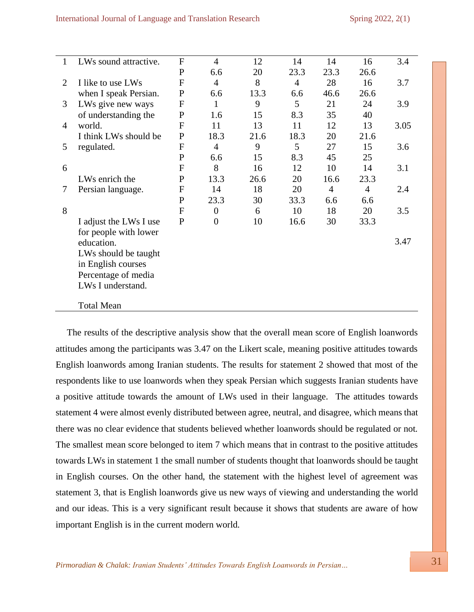| $\mathbf{1}$ | LWs sound attractive.  | $\overline{F}$   | $\overline{4}$ | 12   | 14             | 14             | 16             | 3.4  |
|--------------|------------------------|------------------|----------------|------|----------------|----------------|----------------|------|
|              |                        | $\mathbf{P}$     | 6.6            | 20   | 23.3           | 23.3           | 26.6           |      |
| 2            | I like to use LWs      | F                | $\overline{4}$ | 8    | $\overline{4}$ | 28             | 16             | 3.7  |
|              | when I speak Persian.  | $\mathbf P$      | 6.6            | 13.3 | 6.6            | 46.6           | 26.6           |      |
| 3            | LWs give new ways      | $\boldsymbol{F}$ | 1              | 9    | 5              | 21             | 24             | 3.9  |
|              | of understanding the   | $\mathbf P$      | 1.6            | 15   | 8.3            | 35             | 40             |      |
| 4            | world.                 | $\overline{F}$   | 11             | 13   | 11             | 12             | 13             | 3.05 |
|              | I think LWs should be  | $\mathbf{P}$     | 18.3           | 21.6 | 18.3           | 20             | 21.6           |      |
| 5            | regulated.             | $\overline{F}$   | $\overline{4}$ | 9    | 5              | 27             | 15             | 3.6  |
|              |                        | $\mathbf{P}$     | 6.6            | 15   | 8.3            | 45             | 25             |      |
| 6            |                        | F                | 8              | 16   | 12             | 10             | 14             | 3.1  |
|              | LWs enrich the         | P                | 13.3           | 26.6 | 20             | 16.6           | 23.3           |      |
| 7            | Persian language.      | F                | 14             | 18   | 20             | $\overline{4}$ | $\overline{4}$ | 2.4  |
|              |                        | P                | 23.3           | 30   | 33.3           | 6.6            | 6.6            |      |
| 8            |                        | F                | $\theta$       | 6    | 10             | 18             | 20             | 3.5  |
|              | I adjust the LWs I use | $\mathbf{P}$     | $\overline{0}$ | 10   | 16.6           | 30             | 33.3           |      |
|              | for people with lower  |                  |                |      |                |                |                |      |
|              | education.             |                  |                |      |                |                |                | 3.47 |
|              | LWs should be taught   |                  |                |      |                |                |                |      |
|              | in English courses     |                  |                |      |                |                |                |      |
|              | Percentage of media    |                  |                |      |                |                |                |      |
|              | LWs I understand.      |                  |                |      |                |                |                |      |
|              |                        |                  |                |      |                |                |                |      |
|              | <b>Total Mean</b>      |                  |                |      |                |                |                |      |

The results of the descriptive analysis show that the overall mean score of English loanwords attitudes among the participants was 3.47 on the Likert scale, meaning positive attitudes towards English loanwords among Iranian students. The results for statement 2 showed that most of the respondents like to use loanwords when they speak Persian which suggests Iranian students have a positive attitude towards the amount of LWs used in their language. The attitudes towards statement 4 were almost evenly distributed between agree, neutral, and disagree, which means that there was no clear evidence that students believed whether loanwords should be regulated or not. The smallest mean score belonged to item 7 which means that in contrast to the positive attitudes towards LWs in statement 1 the small number of students thought that loanwords should be taught in English courses. On the other hand, the statement with the highest level of agreement was statement 3, that is English loanwords give us new ways of viewing and understanding the world and our ideas. This is a very significant result because it shows that students are aware of how important English is in the current modern world.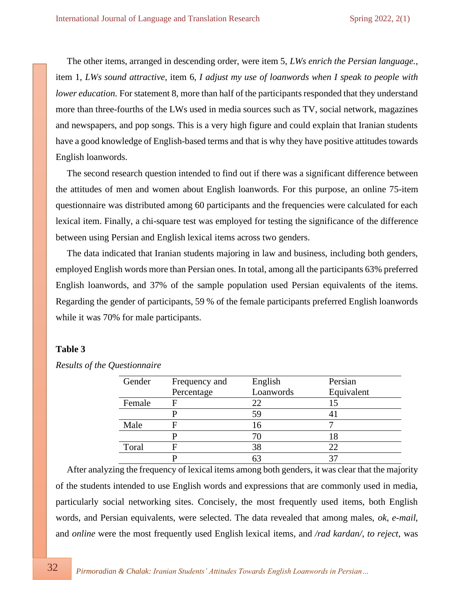The other items, arranged in descending order, were item 5, *LWs enrich the Persian language.,*  item 1, *LWs sound attractive,* item 6*, I adjust my use of loanwords when I speak to people with lower education*. For statement 8, more than half of the participants responded that they understand more than three-fourths of the LWs used in media sources such as TV, social network, magazines and newspapers, and pop songs. This is a very high figure and could explain that Iranian students have a good knowledge of English-based terms and that is why they have positive attitudes towards English loanwords.

The second research question intended to find out if there was a significant difference between the attitudes of men and women about English loanwords. For this purpose, an online 75-item questionnaire was distributed among 60 participants and the frequencies were calculated for each lexical item. Finally, a chi-square test was employed for testing the significance of the difference between using Persian and English lexical items across two genders.

The data indicated that Iranian students majoring in law and business, including both genders, employed English words more than Persian ones. In total, among all the participants 63% preferred English loanwords, and 37% of the sample population used Persian equivalents of the items. Regarding the gender of participants, 59 % of the female participants preferred English loanwords while it was 70% for male participants.

## **Table 3**

| Gender | Frequency and | English   | Persian    |
|--------|---------------|-----------|------------|
|        | Percentage    | Loanwords | Equivalent |
| Female |               | 22        |            |
|        |               | 59        |            |
| Male   |               | 16        |            |
|        |               | 70        | 18         |
| Toral  |               | 38        | 22         |
|        |               |           |            |

*Results of the Questionnaire*

After analyzing the frequency of lexical items among both genders, it was clear that the majority of the students intended to use English words and expressions that are commonly used in media, particularly social networking sites. Concisely, the most frequently used items, both English words, and Persian equivalents, were selected. The data revealed that among males, *ok*, *e-mail*, and *online* were the most frequently used English lexical items, and */rad kardan/*, *to reject*, was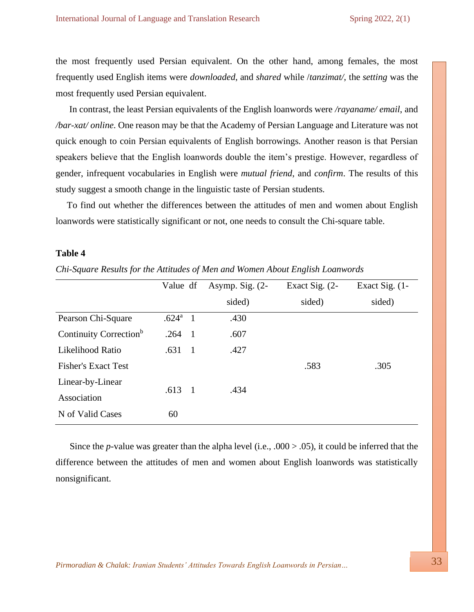the most frequently used Persian equivalent. On the other hand, among females, the most frequently used English items were *downloaded*, and *shared* while /*tanzimat/*, the *setting* was the most frequently used Persian equivalent.

In contrast, the least Persian equivalents of the English loanwords were */rayaname/ email*, and */bar-xat/ online*. One reason may be that the Academy of Persian Language and Literature was not quick enough to coin Persian equivalents of English borrowings. Another reason is that Persian speakers believe that the English loanwords double the item's prestige. However, regardless of gender, infrequent vocabularies in English were *mutual friend*, and *confirm*. The results of this study suggest a smooth change in the linguistic taste of Persian students.

To find out whether the differences between the attitudes of men and women about English loanwords were statistically significant or not, one needs to consult the Chi-square table.

#### **Table 4**

*Chi-Square Results for the Attitudes of Men and Women About English Loanwords*

|                                    | Value df          |                | Asymp. Sig. (2- | Exact Sig. (2- | Exact Sig. (1- |
|------------------------------------|-------------------|----------------|-----------------|----------------|----------------|
|                                    |                   |                | sided)          | sided)         | sided)         |
| Pearson Chi-Square                 | .624 <sup>a</sup> | - 1            | .430            |                |                |
| Continuity Correction <sup>b</sup> | $.264 \quad 1$    |                | .607            |                |                |
| Likelihood Ratio                   | .631              | $\blacksquare$ | .427            |                |                |
| <b>Fisher's Exact Test</b>         |                   |                |                 | .583           | .305           |
| Linear-by-Linear                   | $.613 \quad 1$    |                |                 |                |                |
| Association                        |                   |                | .434            |                |                |
| N of Valid Cases                   | 60                |                |                 |                |                |

Since the *p-*value was greater than the alpha level (i.e., .000 > .05), it could be inferred that the difference between the attitudes of men and women about English loanwords was statistically nonsignificant.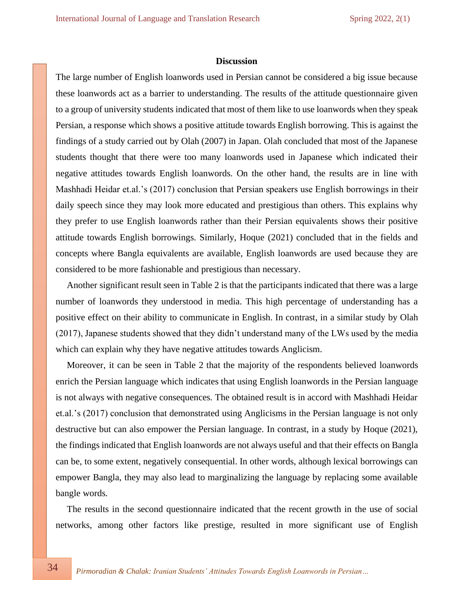#### **Discussion**

The large number of English loanwords used in Persian cannot be considered a big issue because these loanwords act as a barrier to understanding. The results of the attitude questionnaire given to a group of university students indicated that most of them like to use loanwords when they speak Persian, a response which shows a positive attitude towards English borrowing. This is against the findings of a study carried out by Olah (2007) in Japan. Olah concluded that most of the Japanese students thought that there were too many loanwords used in Japanese which indicated their negative attitudes towards English loanwords. On the other hand, the results are in line with Mashhadi Heidar et.al.'s (2017) conclusion that Persian speakers use English borrowings in their daily speech since they may look more educated and prestigious than others. This explains why they prefer to use English loanwords rather than their Persian equivalents shows their positive attitude towards English borrowings. Similarly, Hoque (2021) concluded that in the fields and concepts where Bangla equivalents are available, English loanwords are used because they are considered to be more fashionable and prestigious than necessary.

Another significant result seen in Table 2 is that the participants indicated that there was a large number of loanwords they understood in media. This high percentage of understanding has a positive effect on their ability to communicate in English. In contrast, in a similar study by Olah (2017), Japanese students showed that they didn't understand many of the LWs used by the media which can explain why they have negative attitudes towards Anglicism.

Moreover, it can be seen in Table 2 that the majority of the respondents believed loanwords enrich the Persian language which indicates that using English loanwords in the Persian language is not always with negative consequences. The obtained result is in accord with Mashhadi Heidar et.al.'s (2017) conclusion that demonstrated using Anglicisms in the Persian language is not only destructive but can also empower the Persian language. In contrast, in a study by Hoque (2021), the findings indicated that English loanwords are not always useful and that their effects on Bangla can be, to some extent, negatively consequential. In other words, although lexical borrowings can empower Bangla, they may also lead to marginalizing the language by replacing some available bangle words.

The results in the second questionnaire indicated that the recent growth in the use of social networks, among other factors like prestige, resulted in more significant use of English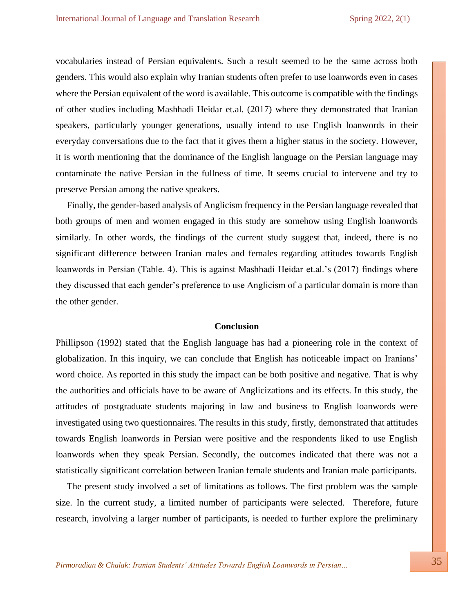vocabularies instead of Persian equivalents. Such a result seemed to be the same across both genders. This would also explain why Iranian students often prefer to use loanwords even in cases where the Persian equivalent of the word is available. This outcome is compatible with the findings of other studies including Mashhadi Heidar et.al. (2017) where they demonstrated that Iranian speakers, particularly younger generations, usually intend to use English loanwords in their everyday conversations due to the fact that it gives them a higher status in the society. However, it is worth mentioning that the dominance of the English language on the Persian language may contaminate the native Persian in the fullness of time. It seems crucial to intervene and try to preserve Persian among the native speakers.

Finally, the gender-based analysis of Anglicism frequency in the Persian language revealed that both groups of men and women engaged in this study are somehow using English loanwords similarly. In other words, the findings of the current study suggest that, indeed, there is no significant difference between Iranian males and females regarding attitudes towards English loanwords in Persian (Table. 4). This is against Mashhadi Heidar et.al.'s (2017) findings where they discussed that each gender's preference to use Anglicism of a particular domain is more than the other gender.

#### **Conclusion**

Phillipson (1992) stated that the English language has had a pioneering role in the context of globalization. In this inquiry, we can conclude that English has noticeable impact on Iranians' word choice. As reported in this study the impact can be both positive and negative. That is why the authorities and officials have to be aware of Anglicizations and its effects. In this study, the attitudes of postgraduate students majoring in law and business to English loanwords were investigated using two questionnaires. The results in this study, firstly, demonstrated that attitudes towards English loanwords in Persian were positive and the respondents liked to use English loanwords when they speak Persian. Secondly, the outcomes indicated that there was not a statistically significant correlation between Iranian female students and Iranian male participants.

The present study involved a set of limitations as follows. The first problem was the sample size. In the current study, a limited number of participants were selected. Therefore, future research, involving a larger number of participants, is needed to further explore the preliminary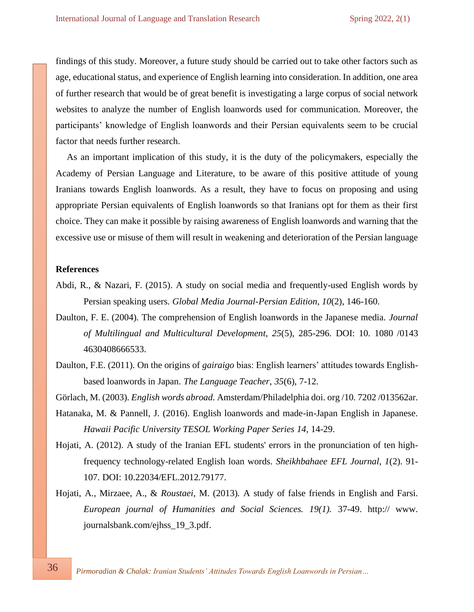findings of this study. Moreover, a future study should be carried out to take other factors such as age, educational status, and experience of English learning into consideration. In addition, one area of further research that would be of great benefit is investigating a large corpus of social network websites to analyze the number of English loanwords used for communication. Moreover, the participants' knowledge of English loanwords and their Persian equivalents seem to be crucial factor that needs further research.

As an important implication of this study, it is the duty of the policymakers, especially the Academy of Persian Language and Literature, to be aware of this positive attitude of young Iranians towards English loanwords. As a result, they have to focus on proposing and using appropriate Persian equivalents of English loanwords so that Iranians opt for them as their first choice. They can make it possible by raising awareness of English loanwords and warning that the excessive use or misuse of them will result in weakening and deterioration of the Persian language

## **References**

- Abdi, R., & Nazari, F. (2015). A study on social media and frequently-used English words by Persian speaking users. *Global Media Journal-Persian Edition*, *10*(2), 146-160.
- Daulton, F. E. (2004). The comprehension of English loanwords in the Japanese media. *Journal of Multilingual and Multicultural Development*, *25*(5), 285-296. DOI: 10. 1080 /0143 4630408666533.
- Daulton, F.E. (2011). On the origins of *gairaigo* bias: English learners' attitudes towards Englishbased loanwords in Japan. *The Language Teacher*, *35*(6), 7-12.

Görlach, M. (2003). *English words abroad*. Amsterdam/Philadelphia doi. org /10. 7202 /013562ar.

- Hatanaka, M. & Pannell, J. (2016). English loanwords and made-in-Japan English in Japanese. *Hawaii Pacific University TESOL Working Paper Series 14*, 14-29.
- Hojati, A. (2012). A study of the Iranian EFL students' errors in the pronunciation of ten highfrequency technology-related English loan words. *Sheikhbahaee EFL Journal*, *1*(2). 91- 107. DOI: [10.22034/EFL.2012.79177.](https://dx.doi.org/10.22034/efl.2012.79177)
- Hojati, A., Mirzaee, A., & *Roustaei*, M. (2013)*.* A study of false friends in English and Farsi. *European journal of Humanities and Social Sciences. 19(1).* 37-49. http:// www. journalsbank.com/ejhss\_19\_3.pdf.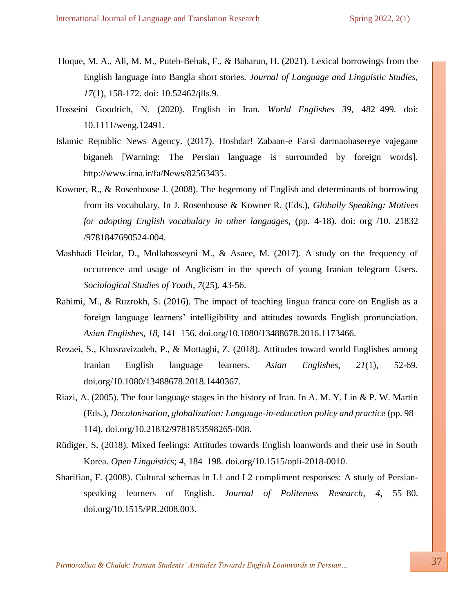- Hoque, M. A., Ali, M. M., Puteh-Behak, F., & Baharun, H. (2021). Lexical borrowings from the English language into Bangla short stories. *Journal of Language and Linguistic Studies, 17*(1), 158-172. doi: 10.52462/jlls.9.
- Hosseini Goodrich, N. (2020). English in Iran. *World Englishes 39,* 482–499. doi: 10.1111/weng.12491.
- Islamic Republic News Agency. (2017). Hoshdar! Zabaan-e Farsi darmaohasereye vajegane biganeh [Warning: The Persian language is surrounded by foreign words]. [http://www.irna.ir/fa/News/82563435.](http://www.irna.ir/fa/News/82563435)
- Kowner, R., & Rosenhouse J. (2008). The hegemony of English and determinants of borrowing from its vocabulary. In J. Rosenhouse & Kowner R. (Eds.), *Globally Speaking: Motives for adopting English vocabulary in other languages*, (pp. 4-18). doi: org /10. 21832 /9781847690524-004.
- Mashhadi Heidar, D., Mollahosseyni M., & Asaee, M. (2017). A study on the frequency of occurrence and usage of Anglicism in the speech of young Iranian telegram Users. *Sociological Studies of Youth*, *7*(25), 43-56.
- Rahimi, M., & Ruzrokh, S. (2016). The impact of teaching lingua franca core on English as a foreign language learners' intelligibility and attitudes towards English pronunciation. *Asian Englishes*, *18*, 141–156. doi.org/10.1080/13488678.2016.1173466.
- Rezaei, S., Khosravizadeh, P., & Mottaghi, Z. (2018). Attitudes toward world Englishes among Iranian English language learners. *Asian Englishes, 21*(1), 52-69. doi.org/10.1080/13488678.2018.1440367.
- Riazi, A. (2005). The four language stages in the history of Iran. In A. M. Y. Lin & P. W. Martin (Eds.), *Decolonisation, globalization: Language-in-education policy and practice* (pp. 98– 114). [doi.org/10.21832/9781853598265-008.](https://doi.org/10.21832/9781853598265-008)
- Rüdiger, S. (2018). Mixed feelings: Attitudes towards English loanwords and their use in South Korea. *Open Linguistics*; *4*, 184–198. doi.org/10.1515/opli-2018-0010.
- Sharifian, F. (2008). Cultural schemas in L1 and L2 compliment responses: A study of Persianspeaking learners of English. *Journal of Politeness Research*, *4*, 55–80. doi.org/10.1515/PR.2008.003.